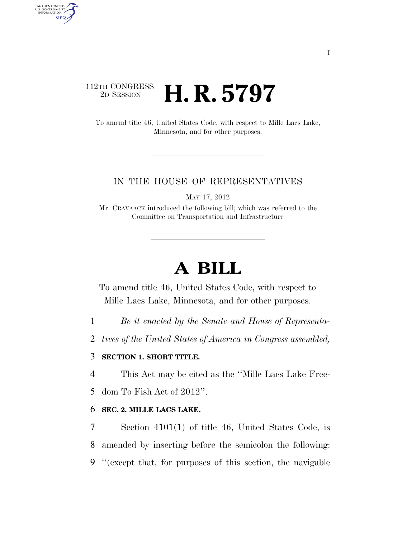# 112TH CONGRESS <sup>2D SESSION</sup> **H. R. 5797**

AUTHENTICATED<br>U.S. GOVERNMENT<br>INFORMATION GPO

> To amend title 46, United States Code, with respect to Mille Lacs Lake, Minnesota, and for other purposes.

### IN THE HOUSE OF REPRESENTATIVES

MAY 17, 2012

Mr. CRAVAACK introduced the following bill; which was referred to the Committee on Transportation and Infrastructure

# **A BILL**

To amend title 46, United States Code, with respect to Mille Lacs Lake, Minnesota, and for other purposes.

1 *Be it enacted by the Senate and House of Representa-*

2 *tives of the United States of America in Congress assembled,* 

## 3 **SECTION 1. SHORT TITLE.**

4 This Act may be cited as the ''Mille Lacs Lake Free-

5 dom To Fish Act of 2012''.

### 6 **SEC. 2. MILLE LACS LAKE.**

7 Section 4101(1) of title 46, United States Code, is 8 amended by inserting before the semicolon the following: 9 ''(except that, for purposes of this section, the navigable